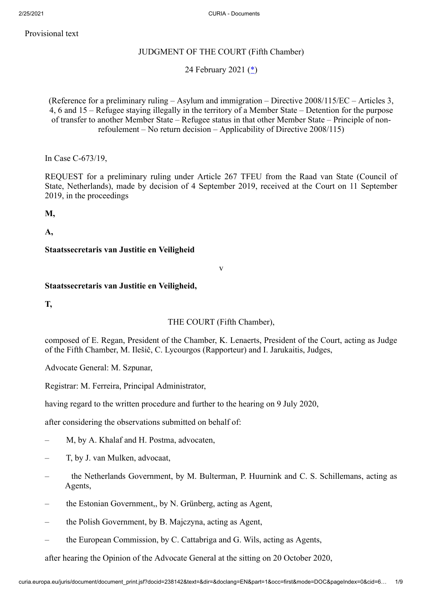### Provisional text

# JUDGMENT OF THE COURT (Fifth Chamber)

<span id="page-0-0"></span>24 February 2021 [\(\\*](#page-8-0))

(Reference for a preliminary ruling – Asylum and immigration – Directive 2008/115/EC – Articles 3, 4, 6 and 15 – Refugee staying illegally in the territory of a Member State – Detention for the purpose of transfer to another Member State – Refugee status in that other Member State – Principle of nonrefoulement – No return decision – Applicability of Directive 2008/115)

In Case C‑673/19,

REQUEST for a preliminary ruling under Article 267 TFEU from the Raad van State (Council of State, Netherlands), made by decision of 4 September 2019, received at the Court on 11 September 2019, in the proceedings

**M,**

**A,**

## **Staatssecretaris van Justitie en Veiligheid**

v

#### **Staatssecretaris van Justitie en Veiligheid,**

**T,**

THE COURT (Fifth Chamber),

composed of E. Regan, President of the Chamber, K. Lenaerts, President of the Court, acting as Judge of the Fifth Chamber, M. Ilešič, C. Lycourgos (Rapporteur) and I. Jarukaitis, Judges,

Advocate General: M. Szpunar,

Registrar: M. Ferreira, Principal Administrator,

having regard to the written procedure and further to the hearing on 9 July 2020,

after considering the observations submitted on behalf of:

- M, by A. Khalaf and H. Postma, advocaten,
- T, by J. van Mulken, advocaat,
- the Netherlands Government, by M. Bulterman, P. Huurnink and C. S. Schillemans, acting as Agents,
- the Estonian Government,, by N. Grünberg, acting as Agent,
- the Polish Government, by B. Majczyna, acting as Agent,
- the European Commission, by C. Cattabriga and G. Wils, acting as Agents,

after hearing the Opinion of the Advocate General at the sitting on 20 October 2020,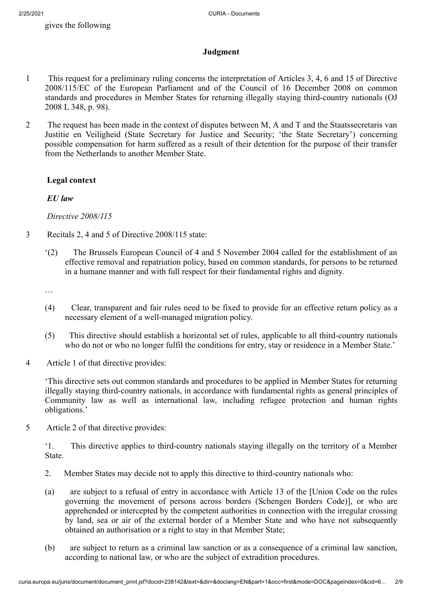gives the following

# **Judgment**

- 1 This request for a preliminary ruling concerns the interpretation of Articles 3, 4, 6 and 15 of Directive 2008/115/EC of the European Parliament and of the Council of 16 December 2008 on common standards and procedures in Member States for returning illegally staying third-country nationals (OJ 2008 L 348, p. 98).
- 2 The request has been made in the context of disputes between M, A and T and the Staatssecretaris van Justitie en Veiligheid (State Secretary for Justice and Security; 'the State Secretary') concerning possible compensation for harm suffered as a result of their detention for the purpose of their transfer from the Netherlands to another Member State.

# **Legal context**

*EU law*

*Directive 2008/115*

- 3 Recitals 2, 4 and 5 of Directive 2008/115 state:
	- '(2) The Brussels European Council of 4 and 5 November 2004 called for the establishment of an effective removal and repatriation policy, based on common standards, for persons to be returned in a humane manner and with full respect for their fundamental rights and dignity.

…

- (4) Clear, transparent and fair rules need to be fixed to provide for an effective return policy as a necessary element of a well-managed migration policy.
- (5) This directive should establish a horizontal set of rules, applicable to all third-country nationals who do not or who no longer fulfil the conditions for entry, stay or residence in a Member State.'
- 4 Article 1 of that directive provides:

'This directive sets out common standards and procedures to be applied in Member States for returning illegally staying third-country nationals, in accordance with fundamental rights as general principles of Community law as well as international law, including refugee protection and human rights obligations.'

5 Article 2 of that directive provides:

'1. This directive applies to third-country nationals staying illegally on the territory of a Member State.

- 2. Member States may decide not to apply this directive to third-country nationals who:
- (a) are subject to a refusal of entry in accordance with Article 13 of the [Union Code on the rules governing the movement of persons across borders (Schengen Borders Code)], or who are apprehended or intercepted by the competent authorities in connection with the irregular crossing by land, sea or air of the external border of a Member State and who have not subsequently obtained an authorisation or a right to stay in that Member State;
- (b) are subject to return as a criminal law sanction or as a consequence of a criminal law sanction, according to national law, or who are the subject of extradition procedures.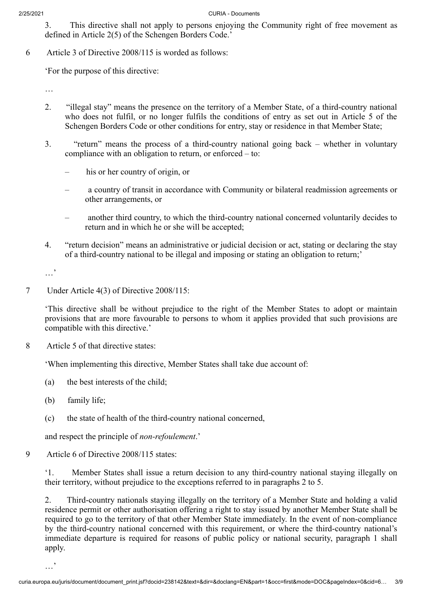#### 2/25/2021 CURIA - Documents

3. This directive shall not apply to persons enjoying the Community right of free movement as defined in Article 2(5) of the Schengen Borders Code.'

6 Article 3 of Directive 2008/115 is worded as follows:

'For the purpose of this directive:

…

- 2. "illegal stay" means the presence on the territory of a Member State, of a third-country national who does not fulfil, or no longer fulfils the conditions of entry as set out in Article 5 of the Schengen Borders Code or other conditions for entry, stay or residence in that Member State;
- 3. "return" means the process of a third-country national going back whether in voluntary compliance with an obligation to return, or enforced – to:
	- his or her country of origin, or
	- a country of transit in accordance with Community or bilateral readmission agreements or other arrangements, or
	- another third country, to which the third-country national concerned voluntarily decides to return and in which he or she will be accepted;
- 4. "return decision" means an administrative or judicial decision or act, stating or declaring the stay of a third-country national to be illegal and imposing or stating an obligation to return;'

…'

7 Under Article 4(3) of Directive 2008/115:

'This directive shall be without prejudice to the right of the Member States to adopt or maintain provisions that are more favourable to persons to whom it applies provided that such provisions are compatible with this directive.'

8 Article 5 of that directive states:

'When implementing this directive, Member States shall take due account of:

- (a) the best interests of the child;
- (b) family life;
- (c) the state of health of the third-country national concerned,

and respect the principle of *non-refoulement*.'

9 Article 6 of Directive 2008/115 states:

'1. Member States shall issue a return decision to any third-country national staying illegally on their territory, without prejudice to the exceptions referred to in paragraphs 2 to 5.

2. Third-country nationals staying illegally on the territory of a Member State and holding a valid residence permit or other authorisation offering a right to stay issued by another Member State shall be required to go to the territory of that other Member State immediately. In the event of non-compliance by the third-country national concerned with this requirement, or where the third-country national's immediate departure is required for reasons of public policy or national security, paragraph 1 shall apply.

…'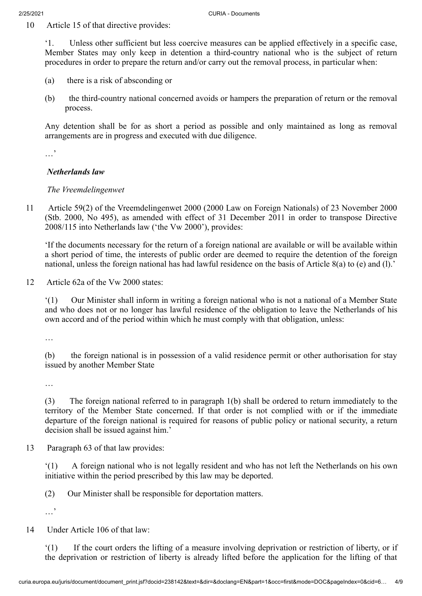10 Article 15 of that directive provides:

'1. Unless other sufficient but less coercive measures can be applied effectively in a specific case, Member States may only keep in detention a third-country national who is the subject of return procedures in order to prepare the return and/or carry out the removal process, in particular when:

- (a) there is a risk of absconding or
- (b) the third-country national concerned avoids or hampers the preparation of return or the removal process.

Any detention shall be for as short a period as possible and only maintained as long as removal arrangements are in progress and executed with due diligence.

…'

#### *Netherlands law*

*The Vreemdelingenwet*

11 Article 59(2) of the Vreemdelingenwet 2000 (2000 Law on Foreign Nationals) of 23 November 2000 (Stb. 2000, No 495), as amended with effect of 31 December 2011 in order to transpose Directive 2008/115 into Netherlands law ('the Vw 2000'), provides:

'If the documents necessary for the return of a foreign national are available or will be available within a short period of time, the interests of public order are deemed to require the detention of the foreign national, unless the foreign national has had lawful residence on the basis of Article 8(a) to (e) and (l).'

12 Article 62a of the Vw 2000 states:

'(1) Our Minister shall inform in writing a foreign national who is not a national of a Member State and who does not or no longer has lawful residence of the obligation to leave the Netherlands of his own accord and of the period within which he must comply with that obligation, unless:

…

(b) the foreign national is in possession of a valid residence permit or other authorisation for stay issued by another Member State

…

(3) The foreign national referred to in paragraph 1(b) shall be ordered to return immediately to the territory of the Member State concerned. If that order is not complied with or if the immediate departure of the foreign national is required for reasons of public policy or national security, a return decision shall be issued against him.'

13 Paragraph 63 of that law provides:

'(1) A foreign national who is not legally resident and who has not left the Netherlands on his own initiative within the period prescribed by this law may be deported.

(2) Our Minister shall be responsible for deportation matters.

…,

14 Under Article 106 of that law:

'(1) If the court orders the lifting of a measure involving deprivation or restriction of liberty, or if the deprivation or restriction of liberty is already lifted before the application for the lifting of that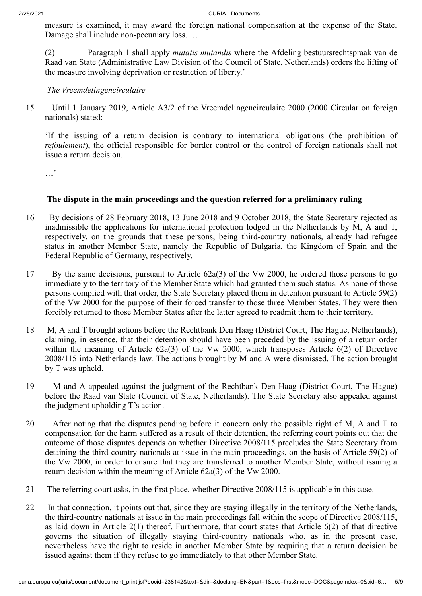measure is examined, it may award the foreign national compensation at the expense of the State. Damage shall include non-pecuniary loss. …

(2) Paragraph 1 shall apply *mutatis mutandis* where the Afdeling bestuursrechtspraak van de Raad van State (Administrative Law Division of the Council of State, Netherlands) orders the lifting of the measure involving deprivation or restriction of liberty.'

*The Vreemdelingencirculaire*

15 Until 1 January 2019, Article A3/2 of the Vreemdelingencirculaire 2000 (2000 Circular on foreign nationals) stated:

'If the issuing of a return decision is contrary to international obligations (the prohibition of *refoulement*), the official responsible for border control or the control of foreign nationals shall not issue a return decision.

…<sup>'</sup>

## **The dispute in the main proceedings and the question referred for a preliminary ruling**

- 16 By decisions of 28 February 2018, 13 June 2018 and 9 October 2018, the State Secretary rejected as inadmissible the applications for international protection lodged in the Netherlands by M, A and T, respectively, on the grounds that these persons, being third-country nationals, already had refugee status in another Member State, namely the Republic of Bulgaria, the Kingdom of Spain and the Federal Republic of Germany, respectively.
- 17 By the same decisions, pursuant to Article 62a(3) of the Vw 2000, he ordered those persons to go immediately to the territory of the Member State which had granted them such status. As none of those persons complied with that order, the State Secretary placed them in detention pursuant to Article 59(2) of the Vw 2000 for the purpose of their forced transfer to those three Member States. They were then forcibly returned to those Member States after the latter agreed to readmit them to their territory.
- 18 M, A and T brought actions before the Rechtbank Den Haag (District Court, The Hague, Netherlands), claiming, in essence, that their detention should have been preceded by the issuing of a return order within the meaning of Article 62a(3) of the Vw 2000, which transposes Article 6(2) of Directive 2008/115 into Netherlands law. The actions brought by M and A were dismissed. The action brought by T was upheld.
- 19 M and A appealed against the judgment of the Rechtbank Den Haag (District Court, The Hague) before the Raad van State (Council of State, Netherlands). The State Secretary also appealed against the judgment upholding T's action.
- 20 After noting that the disputes pending before it concern only the possible right of M, A and T to compensation for the harm suffered as a result of their detention, the referring court points out that the outcome of those disputes depends on whether Directive 2008/115 precludes the State Secretary from detaining the third-country nationals at issue in the main proceedings, on the basis of Article 59(2) of the Vw 2000, in order to ensure that they are transferred to another Member State, without issuing a return decision within the meaning of Article 62a(3) of the Vw 2000.
- 21 The referring court asks, in the first place, whether Directive 2008/115 is applicable in this case.
- 22 In that connection, it points out that, since they are staying illegally in the territory of the Netherlands, the third-country nationals at issue in the main proceedings fall within the scope of Directive 2008/115, as laid down in Article 2(1) thereof. Furthermore, that court states that Article 6(2) of that directive governs the situation of illegally staying third-country nationals who, as in the present case, nevertheless have the right to reside in another Member State by requiring that a return decision be issued against them if they refuse to go immediately to that other Member State.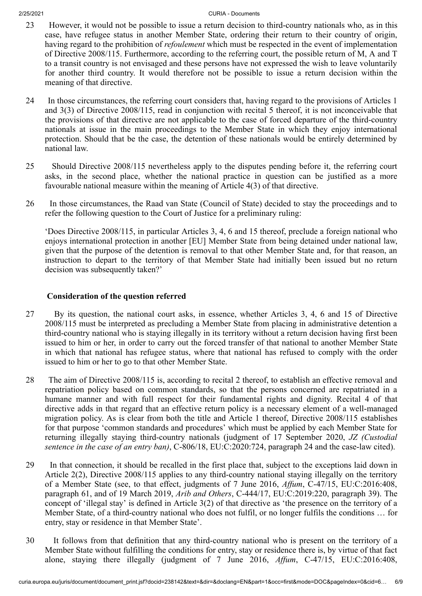#### 2/25/2021 CURIA - Documents

- 23 However, it would not be possible to issue a return decision to third-country nationals who, as in this case, have refugee status in another Member State, ordering their return to their country of origin, having regard to the prohibition of *refoulement* which must be respected in the event of implementation of Directive 2008/115. Furthermore, according to the referring court, the possible return of M, A and T to a transit country is not envisaged and these persons have not expressed the wish to leave voluntarily for another third country. It would therefore not be possible to issue a return decision within the meaning of that directive.
- 24 In those circumstances, the referring court considers that, having regard to the provisions of Articles 1 and 3(3) of Directive 2008/115, read in conjunction with recital 5 thereof, it is not inconceivable that the provisions of that directive are not applicable to the case of forced departure of the third-country nationals at issue in the main proceedings to the Member State in which they enjoy international protection. Should that be the case, the detention of these nationals would be entirely determined by national law.
- 25 Should Directive 2008/115 nevertheless apply to the disputes pending before it, the referring court asks, in the second place, whether the national practice in question can be justified as a more favourable national measure within the meaning of Article 4(3) of that directive.
- 26 In those circumstances, the Raad van State (Council of State) decided to stay the proceedings and to refer the following question to the Court of Justice for a preliminary ruling:

'Does Directive 2008/115, in particular Articles 3, 4, 6 and 15 thereof, preclude a foreign national who enjoys international protection in another [EU] Member State from being detained under national law, given that the purpose of the detention is removal to that other Member State and, for that reason, an instruction to depart to the territory of that Member State had initially been issued but no return decision was subsequently taken?'

# **Consideration of the question referred**

- 27 By its question, the national court asks, in essence, whether Articles 3, 4, 6 and 15 of Directive 2008/115 must be interpreted as precluding a Member State from placing in administrative detention a third-country national who is staying illegally in its territory without a return decision having first been issued to him or her, in order to carry out the forced transfer of that national to another Member State in which that national has refugee status, where that national has refused to comply with the order issued to him or her to go to that other Member State.
- 28 The aim of Directive 2008/115 is, according to recital 2 thereof, to establish an effective removal and repatriation policy based on common standards, so that the persons concerned are repatriated in a humane manner and with full respect for their fundamental rights and dignity. Recital 4 of that directive adds in that regard that an effective return policy is a necessary element of a well-managed migration policy. As is clear from both the title and Article 1 thereof, Directive 2008/115 establishes for that purpose 'common standards and procedures' which must be applied by each Member State for returning illegally staying third-country nationals (judgment of 17 September 2020, *JZ (Custodial sentence in the case of an entry ban)*, C‑806/18, EU:C:2020:724, paragraph 24 and the case-law cited).
- 29 In that connection, it should be recalled in the first place that, subject to the exceptions laid down in Article 2(2), Directive 2008/115 applies to any third-country national staying illegally on the territory of a Member State (see, to that effect, judgments of 7 June 2016, *Affum*, C‑47/15, EU:C:2016:408, paragraph 61, and of 19 March 2019, *Arib and Others*, C‑444/17, EU:C:2019:220, paragraph 39). The concept of 'illegal stay' is defined in Article 3(2) of that directive as 'the presence on the territory of a Member State, of a third-country national who does not fulfil, or no longer fulfils the conditions … for entry, stay or residence in that Member State'.
- 30 It follows from that definition that any third-country national who is present on the territory of a Member State without fulfilling the conditions for entry, stay or residence there is, by virtue of that fact alone, staying there illegally (judgment of 7 June 2016, *Affum*, C‑47/15, EU:C:2016:408,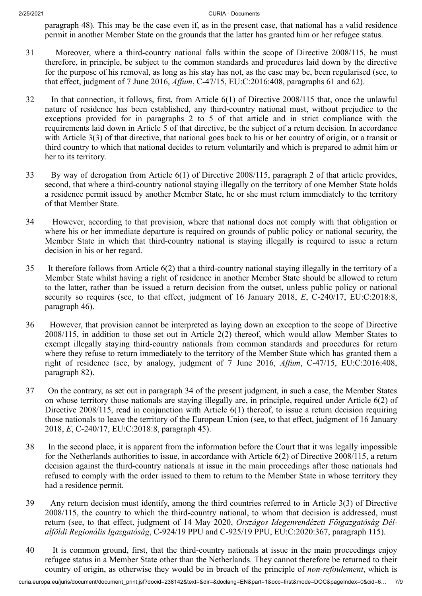#### 2/25/2021 CURIA - Documents

paragraph 48). This may be the case even if, as in the present case, that national has a valid residence permit in another Member State on the grounds that the latter has granted him or her refugee status.

- 31 Moreover, where a third-country national falls within the scope of Directive 2008/115, he must therefore, in principle, be subject to the common standards and procedures laid down by the directive for the purpose of his removal, as long as his stay has not, as the case may be, been regularised (see, to that effect, judgment of 7 June 2016, *Affum*, C‑47/15, EU:C:2016:408, paragraphs 61 and 62).
- 32 In that connection, it follows, first, from Article 6(1) of Directive 2008/115 that, once the unlawful nature of residence has been established, any third-country national must, without prejudice to the exceptions provided for in paragraphs 2 to 5 of that article and in strict compliance with the requirements laid down in Article 5 of that directive, be the subject of a return decision. In accordance with Article 3(3) of that directive, that national goes back to his or her country of origin, or a transit or third country to which that national decides to return voluntarily and which is prepared to admit him or her to its territory.
- 33 By way of derogation from Article 6(1) of Directive 2008/115, paragraph 2 of that article provides, second, that where a third-country national staying illegally on the territory of one Member State holds a residence permit issued by another Member State, he or she must return immediately to the territory of that Member State.
- 34 However, according to that provision, where that national does not comply with that obligation or where his or her immediate departure is required on grounds of public policy or national security, the Member State in which that third-country national is staying illegally is required to issue a return decision in his or her regard.
- 35 It therefore follows from Article 6(2) that a third-country national staying illegally in the territory of a Member State whilst having a right of residence in another Member State should be allowed to return to the latter, rather than be issued a return decision from the outset, unless public policy or national security so requires (see, to that effect, judgment of 16 January 2018, *E*, C-240/17, EU:C:2018:8, paragraph 46).
- 36 However, that provision cannot be interpreted as laying down an exception to the scope of Directive 2008/115, in addition to those set out in Article 2(2) thereof, which would allow Member States to exempt illegally staying third-country nationals from common standards and procedures for return where they refuse to return immediately to the territory of the Member State which has granted them a right of residence (see, by analogy, judgment of 7 June 2016, *Affum*, C‑47/15, EU:C:2016:408, paragraph 82).
- 37 On the contrary, as set out in paragraph 34 of the present judgment, in such a case, the Member States on whose territory those nationals are staying illegally are, in principle, required under Article 6(2) of Directive 2008/115, read in conjunction with Article 6(1) thereof, to issue a return decision requiring those nationals to leave the territory of the European Union (see, to that effect, judgment of 16 January 2018, *E*, C‑240/17, EU:C:2018:8, paragraph 45).
- 38 In the second place, it is apparent from the information before the Court that it was legally impossible for the Netherlands authorities to issue, in accordance with Article 6(2) of Directive 2008/115, a return decision against the third-country nationals at issue in the main proceedings after those nationals had refused to comply with the order issued to them to return to the Member State in whose territory they had a residence permit.
- 39 Any return decision must identify, among the third countries referred to in Article 3(3) of Directive 2008/115, the country to which the third-country national, to whom that decision is addressed, must return (see, to that effect, judgment of 14 May 2020, *Országos Idegenrendézeti Főigazgatóság Délalföldi Regionális Igazgatóság*, C‑924/19 PPU and C‑925/19 PPU, EU:C:2020:367, paragraph 115).
- 40 It is common ground, first, that the third-country nationals at issue in the main proceedings enjoy refugee status in a Member State other than the Netherlands. They cannot therefore be returned to their country of origin, as otherwise they would be in breach of the principle of *non-refoulement*, which is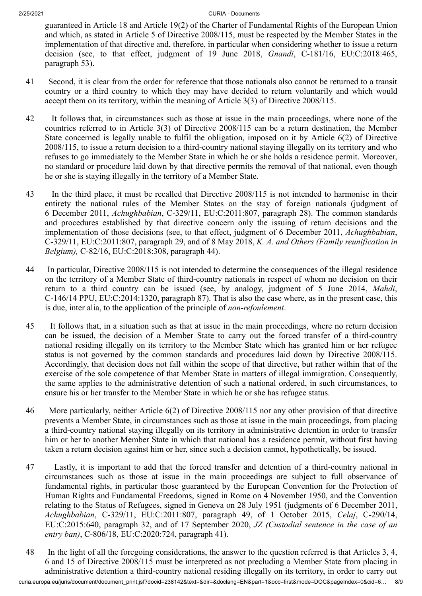guaranteed in Article 18 and Article 19(2) of the Charter of Fundamental Rights of the European Union and which, as stated in Article 5 of Directive 2008/115, must be respected by the Member States in the implementation of that directive and, therefore, in particular when considering whether to issue a return decision (see, to that effect, judgment of 19 June 2018, *Gnandi*, C‑181/16, EU:C:2018:465, paragraph 53).

- 41 Second, it is clear from the order for reference that those nationals also cannot be returned to a transit country or a third country to which they may have decided to return voluntarily and which would accept them on its territory, within the meaning of Article 3(3) of Directive 2008/115.
- 42 It follows that, in circumstances such as those at issue in the main proceedings, where none of the countries referred to in Article 3(3) of Directive 2008/115 can be a return destination, the Member State concerned is legally unable to fulfil the obligation, imposed on it by Article 6(2) of Directive 2008/115, to issue a return decision to a third-country national staying illegally on its territory and who refuses to go immediately to the Member State in which he or she holds a residence permit. Moreover, no standard or procedure laid down by that directive permits the removal of that national, even though he or she is staying illegally in the territory of a Member State.
- 43 In the third place, it must be recalled that Directive 2008/115 is not intended to harmonise in their entirety the national rules of the Member States on the stay of foreign nationals (judgment of 6 December 2011, *Achughbabian*, C‑329/11, EU:C:2011:807, paragraph 28). The common standards and procedures established by that directive concern only the issuing of return decisions and the implementation of those decisions (see, to that effect, judgment of 6 December 2011, *Achughbabian*, C‑329/11, EU:C:2011:807, paragraph 29, and of 8 May 2018, *K. A. and Others (Family reunification in Belgium),* C‑82/16, EU:C:2018:308, paragraph 44).
- 44 In particular, Directive 2008/115 is not intended to determine the consequences of the illegal residence on the territory of a Member State of third-country nationals in respect of whom no decision on their return to a third country can be issued (see, by analogy, judgment of 5 June 2014, *Mahdi*, C‑146/14 PPU, EU:C:2014:1320, paragraph 87). That is also the case where, as in the present case, this is due, inter alia, to the application of the principle of *non-refoulement*.
- 45 It follows that, in a situation such as that at issue in the main proceedings, where no return decision can be issued, the decision of a Member State to carry out the forced transfer of a third-country national residing illegally on its territory to the Member State which has granted him or her refugee status is not governed by the common standards and procedures laid down by Directive 2008/115. Accordingly, that decision does not fall within the scope of that directive, but rather within that of the exercise of the sole competence of that Member State in matters of illegal immigration. Consequently, the same applies to the administrative detention of such a national ordered, in such circumstances, to ensure his or her transfer to the Member State in which he or she has refugee status.
- 46 More particularly, neither Article 6(2) of Directive 2008/115 nor any other provision of that directive prevents a Member State, in circumstances such as those at issue in the main proceedings, from placing a third-country national staying illegally on its territory in administrative detention in order to transfer him or her to another Member State in which that national has a residence permit, without first having taken a return decision against him or her, since such a decision cannot, hypothetically, be issued.
- 47 Lastly, it is important to add that the forced transfer and detention of a third-country national in circumstances such as those at issue in the main proceedings are subject to full observance of fundamental rights, in particular those guaranteed by the European Convention for the Protection of Human Rights and Fundamental Freedoms, signed in Rome on 4 November 1950, and the Convention relating to the Status of Refugees, signed in Geneva on 28 July 1951 (judgments of 6 December 2011, *Achughbabian*, C‑329/11, EU:C:2011:807, paragraph 49, of 1 October 2015, *Celaj*, C‑290/14, EU:C:2015:640, paragraph 32, and of 17 September 2020, *JZ (Custodial sentence in the case of an entry ban)*, C‑806/18, EU:C:2020:724, paragraph 41).
- curia.europa.eu/juris/document/document\_print.jsf?docid=238142&text=&dir=&doclang=EN&part=1&occ=first&mode=DOC&pageIndex=0&cid=6… 8/9 48 In the light of all the foregoing considerations, the answer to the question referred is that Articles 3, 4, 6 and 15 of Directive 2008/115 must be interpreted as not precluding a Member State from placing in administrative detention a third-country national residing illegally on its territory, in order to carry out